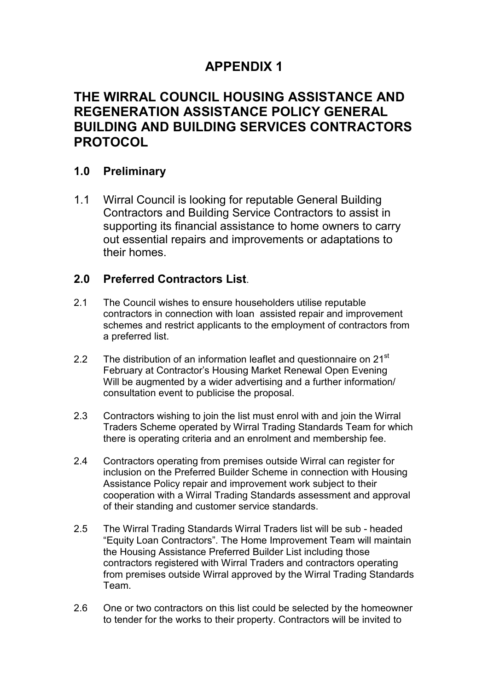# APPENDIX 1

# THE WIRRAL COUNCIL HOUSING ASSISTANCE AND REGENERATION ASSISTANCE POLICY GENERAL BUILDING AND BUILDING SERVICES CONTRACTORS PROTOCOL

## 1.0 Preliminary

1.1 Wirral Council is looking for reputable General Building Contractors and Building Service Contractors to assist in supporting its financial assistance to home owners to carry out essential repairs and improvements or adaptations to their homes.

## 2.0 Preferred Contractors List.

- 2.1 The Council wishes to ensure householders utilise reputable contractors in connection with loan assisted repair and improvement schemes and restrict applicants to the employment of contractors from a preferred list.
- 2.2 The distribution of an information leaflet and questionnaire on  $21<sup>st</sup>$ February at Contractor's Housing Market Renewal Open Evening Will be augmented by a wider advertising and a further information/ consultation event to publicise the proposal.
- 2.3 Contractors wishing to join the list must enrol with and join the Wirral Traders Scheme operated by Wirral Trading Standards Team for which there is operating criteria and an enrolment and membership fee.
- 2.4 Contractors operating from premises outside Wirral can register for inclusion on the Preferred Builder Scheme in connection with Housing Assistance Policy repair and improvement work subject to their cooperation with a Wirral Trading Standards assessment and approval of their standing and customer service standards.
- 2.5 The Wirral Trading Standards Wirral Traders list will be sub headed "Equity Loan Contractors". The Home Improvement Team will maintain the Housing Assistance Preferred Builder List including those contractors registered with Wirral Traders and contractors operating from premises outside Wirral approved by the Wirral Trading Standards Team.
- 2.6 One or two contractors on this list could be selected by the homeowner to tender for the works to their property. Contractors will be invited to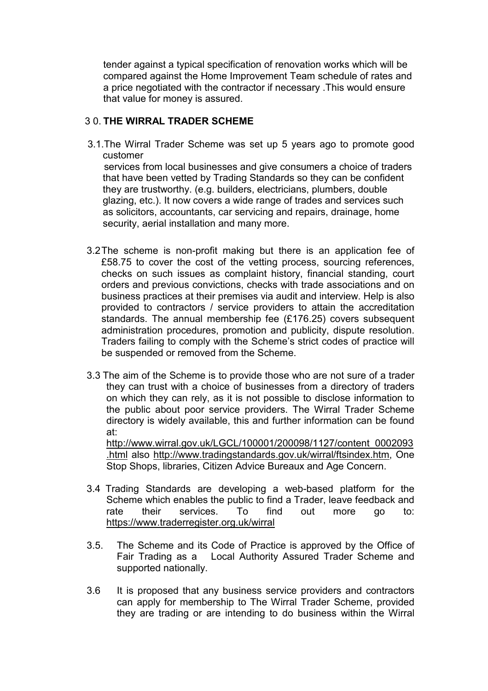tender against a typical specification of renovation works which will be compared against the Home Improvement Team schedule of rates and a price negotiated with the contractor if necessary .This would ensure that value for money is assured.

#### 3 0. THE WIRRAL TRADER SCHEME

 3.1.The Wirral Trader Scheme was set up 5 years ago to promote good customer

 services from local businesses and give consumers a choice of traders that have been vetted by Trading Standards so they can be confident they are trustworthy. (e.g. builders, electricians, plumbers, double glazing, etc.). It now covers a wide range of trades and services such as solicitors, accountants, car servicing and repairs, drainage, home security, aerial installation and many more.

- 3.2 The scheme is non-profit making but there is an application fee of £58.75 to cover the cost of the vetting process, sourcing references, checks on such issues as complaint history, financial standing, court orders and previous convictions, checks with trade associations and on business practices at their premises via audit and interview. Help is also provided to contractors / service providers to attain the accreditation standards. The annual membership fee (£176.25) covers subsequent administration procedures, promotion and publicity, dispute resolution. Traders failing to comply with the Scheme's strict codes of practice will be suspended or removed from the Scheme.
- 3.3 The aim of the Scheme is to provide those who are not sure of a trader they can trust with a choice of businesses from a directory of traders on which they can rely, as it is not possible to disclose information to the public about poor service providers. The Wirral Trader Scheme directory is widely available, this and further information can be found at:

http://www.wirral.gov.uk/LGCL/100001/200098/1127/content\_0002093 .html also http://www.tradingstandards.gov.uk/wirral/ftsindex.htm, One Stop Shops, libraries, Citizen Advice Bureaux and Age Concern.

- 3.4 Trading Standards are developing a web-based platform for the Scheme which enables the public to find a Trader, leave feedback and rate their services. To find out more go to: https://www.traderregister.org.uk/wirral
- 3.5. The Scheme and its Code of Practice is approved by the Office of Fair Trading as a Local Authority Assured Trader Scheme and supported nationally.
- 3.6 It is proposed that any business service providers and contractors can apply for membership to The Wirral Trader Scheme, provided they are trading or are intending to do business within the Wirral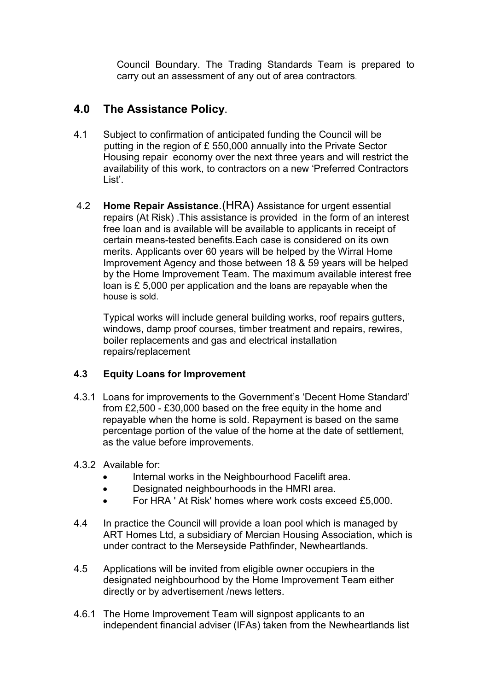Council Boundary. The Trading Standards Team is prepared to carry out an assessment of any out of area contractors.

## 4.0 The Assistance Policy.

- 4.1 Subject to confirmation of anticipated funding the Council will be putting in the region of £ 550,000 annually into the Private Sector Housing repair economy over the next three years and will restrict the availability of this work, to contractors on a new 'Preferred Contractors List'.
- 4.2 Home Repair Assistance.(HRA) Assistance for urgent essential repairs (At Risk) .This assistance is provided in the form of an interest free loan and is available will be available to applicants in receipt of certain means-tested benefits.Each case is considered on its own merits. Applicants over 60 years will be helped by the Wirral Home Improvement Agency and those between 18 & 59 years will be helped by the Home Improvement Team. The maximum available interest free loan is £ 5,000 per application and the loans are repayable when the house is sold.

Typical works will include general building works, roof repairs gutters, windows, damp proof courses, timber treatment and repairs, rewires, boiler replacements and gas and electrical installation repairs/replacement

### 4.3 Equity Loans for Improvement

- 4.3.1 Loans for improvements to the Government's 'Decent Home Standard' from £2,500 - £30,000 based on the free equity in the home and repayable when the home is sold. Repayment is based on the same percentage portion of the value of the home at the date of settlement, as the value before improvements.
- 4.3.2 Available for:
	- Internal works in the Neighbourhood Facelift area.
	- Designated neighbourhoods in the HMRI area.
	- For HRA ' At Risk' homes where work costs exceed £5,000.
- 4.4 In practice the Council will provide a loan pool which is managed by ART Homes Ltd, a subsidiary of Mercian Housing Association, which is under contract to the Merseyside Pathfinder, Newheartlands.
- 4.5 Applications will be invited from eligible owner occupiers in the designated neighbourhood by the Home Improvement Team either directly or by advertisement /news letters.
- 4.6.1 The Home Improvement Team will signpost applicants to an independent financial adviser (IFAs) taken from the Newheartlands list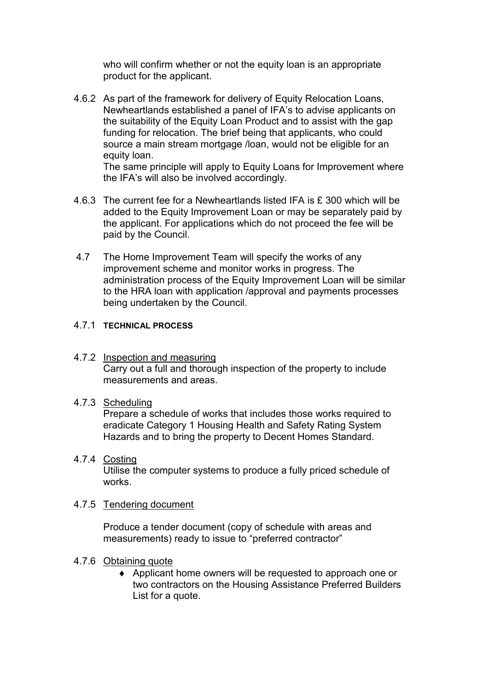who will confirm whether or not the equity loan is an appropriate product for the applicant.

4.6.2 As part of the framework for delivery of Equity Relocation Loans, Newheartlands established a panel of IFA's to advise applicants on the suitability of the Equity Loan Product and to assist with the gap funding for relocation. The brief being that applicants, who could source a main stream mortgage /loan, would not be eligible for an equity loan.

The same principle will apply to Equity Loans for Improvement where the IFA's will also be involved accordingly.

- 4.6.3 The current fee for a Newheartlands listed IFA is £ 300 which will be added to the Equity Improvement Loan or may be separately paid by the applicant. For applications which do not proceed the fee will be paid by the Council.
- 4.7 The Home Improvement Team will specify the works of any improvement scheme and monitor works in progress. The administration process of the Equity Improvement Loan will be similar to the HRA loan with application /approval and payments processes being undertaken by the Council.

#### 4.7.1 TECHNICAL PROCESS

4.7.2 Inspection and measuring Carry out a full and thorough inspection of the property to include measurements and areas.

#### 4.7.3 Scheduling

Prepare a schedule of works that includes those works required to eradicate Category 1 Housing Health and Safety Rating System Hazards and to bring the property to Decent Homes Standard.

#### 4.7.4 Costing

Utilise the computer systems to produce a fully priced schedule of works.

#### 4.7.5 Tendering document

Produce a tender document (copy of schedule with areas and measurements) ready to issue to "preferred contractor"

#### 4.7.6 Obtaining quote

♦ Applicant home owners will be requested to approach one or two contractors on the Housing Assistance Preferred Builders List for a quote.